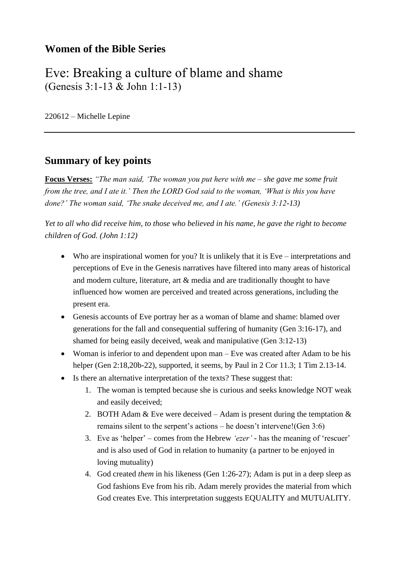### **Women of the Bible Series**

## Eve: Breaking a culture of blame and shame (Genesis 3:1-13 & John 1:1-13)

220612 – Michelle Lepine

### **Summary of key points**

**Focus Verses:** *"The man said, 'The woman you put here with me – she gave me some fruit from the tree, and I ate it.' Then the LORD God said to the woman, 'What is this you have done?' The woman said, 'The snake deceived me, and I ate.' (Genesis 3:12-13)*

*Yet to all who did receive him, to those who believed in his name, he gave the right to become children of God. (John 1:12)*

- Who are inspirational women for you? It is unlikely that it is Eve interpretations and perceptions of Eve in the Genesis narratives have filtered into many areas of historical and modern culture, literature, art & media and are traditionally thought to have influenced how women are perceived and treated across generations, including the present era.
- Genesis accounts of Eve portray her as a woman of blame and shame: blamed over generations for the fall and consequential suffering of humanity (Gen 3:16-17), and shamed for being easily deceived, weak and manipulative (Gen 3:12-13)
- Woman is inferior to and dependent upon man Eve was created after Adam to be his helper (Gen 2:18,20b-22), supported, it seems, by Paul in 2 Cor 11.3; 1 Tim 2.13-14.
- Is there an alternative interpretation of the texts? These suggest that:
	- 1. The woman is tempted because she is curious and seeks knowledge NOT weak and easily deceived;
	- 2. BOTH Adam  $&$  Eve were deceived Adam is present during the temptation  $&$ remains silent to the serpent's actions – he doesn't intervene!(Gen 3:6)
	- 3. Eve as 'helper' comes from the Hebrew *'ezer' -* has the meaning of 'rescuer' and is also used of God in relation to humanity (a partner to be enjoyed in loving mutuality)
	- 4. God created *them* in his likeness (Gen 1:26-27); Adam is put in a deep sleep as God fashions Eve from his rib. Adam merely provides the material from which God creates Eve. This interpretation suggests EQUALITY and MUTUALITY.